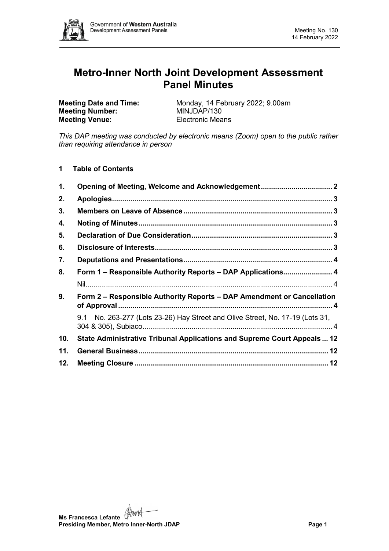

# **Metro-Inner North Joint Development Assessment Panel Minutes**

**Meeting Number: Meeting Venue:** Electronic Means

**Meeting Date and Time:** Monday, 14 February 2022; 9.00am<br> **Meeting Number:** MINJDAP/130

*This DAP meeting was conducted by electronic means (Zoom) open to the public rather than requiring attendance in person*

**1 Table of Contents**

| 1.  |                                                                               |  |
|-----|-------------------------------------------------------------------------------|--|
| 2.  |                                                                               |  |
| 3.  |                                                                               |  |
| 4.  |                                                                               |  |
| 5.  |                                                                               |  |
| 6.  |                                                                               |  |
| 7.  |                                                                               |  |
| 8.  | Form 1 – Responsible Authority Reports – DAP Applications 4                   |  |
|     |                                                                               |  |
| 9.  | Form 2 – Responsible Authority Reports – DAP Amendment or Cancellation        |  |
|     | 9.1 No. 263-277 (Lots 23-26) Hay Street and Olive Street, No. 17-19 (Lots 31, |  |
| 10. | State Administrative Tribunal Applications and Supreme Court Appeals 12       |  |
| 11. |                                                                               |  |
| 12. |                                                                               |  |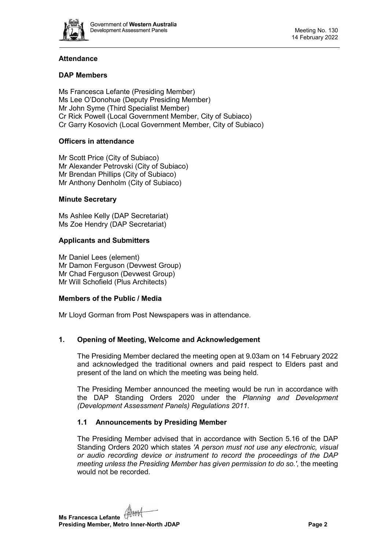

# **Attendance**

# **DAP Members**

Ms Francesca Lefante (Presiding Member) Ms Lee O'Donohue (Deputy Presiding Member) Mr John Syme (Third Specialist Member) Cr Rick Powell (Local Government Member, City of Subiaco) Cr Garry Kosovich (Local Government Member, City of Subiaco)

# **Officers in attendance**

Mr Scott Price (City of Subiaco) Mr Alexander Petrovski (City of Subiaco) Mr Brendan Phillips (City of Subiaco) Mr Anthony Denholm (City of Subiaco)

# **Minute Secretary**

Ms Ashlee Kelly (DAP Secretariat) Ms Zoe Hendry (DAP Secretariat)

# **Applicants and Submitters**

Mr Daniel Lees (element) Mr Damon Ferguson (Devwest Group) Mr Chad Ferguson (Devwest Group) Mr Will Schofield (Plus Architects)

# **Members of the Public / Media**

Mr Lloyd Gorman from Post Newspapers was in attendance.

# <span id="page-1-0"></span>**1. Opening of Meeting, Welcome and Acknowledgement**

The Presiding Member declared the meeting open at 9.03am on 14 February 2022 and acknowledged the traditional owners and paid respect to Elders past and present of the land on which the meeting was being held.

The Presiding Member announced the meeting would be run in accordance with the DAP Standing Orders 2020 under the *Planning and Development (Development Assessment Panels) Regulations 2011.*

# **1.1 Announcements by Presiding Member**

The Presiding Member advised that in accordance with Section 5.16 of the DAP Standing Orders 2020 which states *'A person must not use any electronic, visual or audio recording device or instrument to record the proceedings of the DAP meeting unless the Presiding Member has given permission to do so.',* the meeting would not be recorded.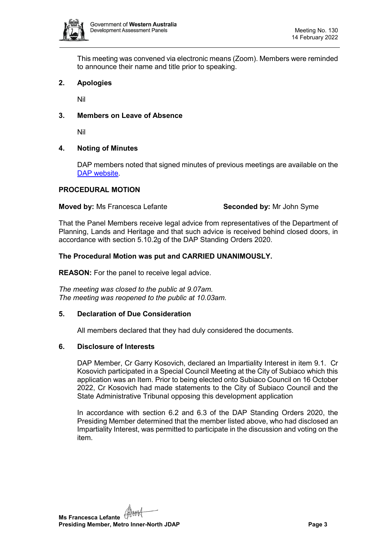

This meeting was convened via electronic means (Zoom). Members were reminded to announce their name and title prior to speaking.

# <span id="page-2-0"></span>**2. Apologies**

Nil

#### <span id="page-2-1"></span>**3. Members on Leave of Absence**

Nil

#### <span id="page-2-2"></span>**4. Noting of Minutes**

DAP members noted that signed minutes of previous meetings are available on the [DAP website.](https://www.dplh.wa.gov.au/about/development-assessment-panels/daps-agendas-and-minutes)

#### **PROCEDURAL MOTION**

#### **Moved by:** Ms Francesca Lefante **Seconded by:** Mr John Syme

That the Panel Members receive legal advice from representatives of the Department of Planning, Lands and Heritage and that such advice is received behind closed doors, in accordance with section 5.10.2g of the DAP Standing Orders 2020.

#### **The Procedural Motion was put and CARRIED UNANIMOUSLY.**

**REASON:** For the panel to receive legal advice.

*The meeting was closed to the public at 9.07am. The meeting was reopened to the public at 10.03am.*

#### <span id="page-2-3"></span>**5. Declaration of Due Consideration**

All members declared that they had duly considered the documents.

#### <span id="page-2-4"></span>**6. Disclosure of Interests**

DAP Member, Cr Garry Kosovich, declared an Impartiality Interest in item 9.1. Cr Kosovich participated in a Special Council Meeting at the City of Subiaco which this application was an Item. Prior to being elected onto Subiaco Council on 16 October 2022, Cr Kosovich had made statements to the City of Subiaco Council and the State Administrative Tribunal opposing this development application

In accordance with section 6.2 and 6.3 of the DAP Standing Orders 2020, the Presiding Member determined that the member listed above, who had disclosed an Impartiality Interest, was permitted to participate in the discussion and voting on the item.

**Ms Francesca Lefante** (AAA) **Presiding Member, Metro Inner-North JDAP Page 3**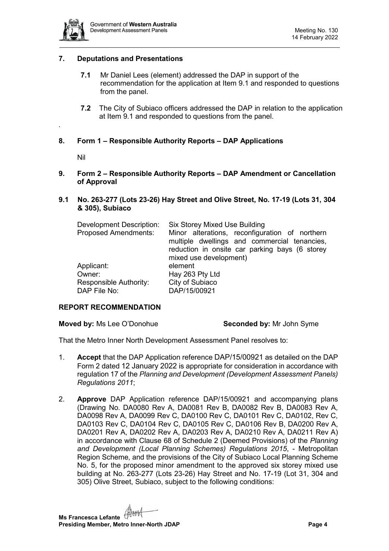

# <span id="page-3-0"></span>**7. Deputations and Presentations**

- **7.1** Mr Daniel Lees (element) addressed the DAP in support of the recommendation for the application at Item 9.1 and responded to questions from the panel.
- **7.2** The City of Subiaco officers addressed the DAP in relation to the application at Item 9.1 and responded to questions from the panel.

# <span id="page-3-2"></span>**8. Form 1 – Responsible Authority Reports – DAP Applications**

Nil

<span id="page-3-1"></span>*.*

<span id="page-3-3"></span>**9. Form 2 – Responsible Authority Reports – DAP Amendment or Cancellation of Approval**

#### <span id="page-3-4"></span>**9.1 No. 263-277 (Lots 23-26) Hay Street and Olive Street, No. 17-19 (Lots 31, 304 & 305), Subiaco**

| Development Description:    | <b>Six Storey Mixed Use Building</b>           |  |  |
|-----------------------------|------------------------------------------------|--|--|
| <b>Proposed Amendments:</b> | Minor alterations, reconfiguration of northern |  |  |
|                             | multiple dwellings and commercial tenancies,   |  |  |
|                             | reduction in onsite car parking bays (6 storey |  |  |
|                             | mixed use development)                         |  |  |
| Applicant:                  | element                                        |  |  |
| Owner:                      | Hay 263 Pty Ltd                                |  |  |
| Responsible Authority:      | City of Subiaco                                |  |  |
| DAP File No:                | DAP/15/00921                                   |  |  |

#### **REPORT RECOMMENDATION**

**Moved by:** Ms Lee O'Donohue **Seconded by:** Mr John Syme

That the Metro Inner North Development Assessment Panel resolves to:

- 1. **Accept** that the DAP Application reference DAP/15/00921 as detailed on the DAP Form 2 dated 12 January 2022 is appropriate for consideration in accordance with regulation 17 of the *Planning and Development (Development Assessment Panels) Regulations 2011*;
- 2. **Approve** DAP Application reference DAP/15/00921 and accompanying plans (Drawing No. DA0080 Rev A, DA0081 Rev B, DA0082 Rev B, DA0083 Rev A, DA0098 Rev A, DA0099 Rev C, DA0100 Rev C, DA0101 Rev C, DA0102, Rev C, DA0103 Rev C, DA0104 Rev C, DA0105 Rev C, DA0106 Rev B, DA0200 Rev A, DA0201 Rev A, DA0202 Rev A, DA0203 Rev A, DA0210 Rev A, DA0211 Rev A) in accordance with Clause 68 of Schedule 2 (Deemed Provisions) of the *Planning and Development (Local Planning Schemes) Regulations 2015*, - Metropolitan Region Scheme, and the provisions of the City of Subiaco Local Planning Scheme No. 5, for the proposed minor amendment to the approved six storey mixed use building at No. 263-277 (Lots 23-26) Hay Street and No. 17-19 (Lot 31, 304 and 305) Olive Street, Subiaco, subject to the following conditions: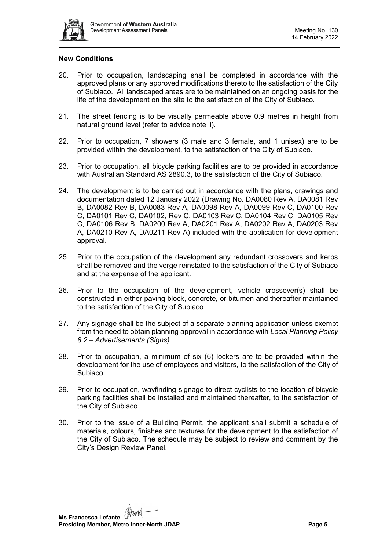

# **New Conditions**

- 20. Prior to occupation, landscaping shall be completed in accordance with the approved plans or any approved modifications thereto to the satisfaction of the City of Subiaco. All landscaped areas are to be maintained on an ongoing basis for the life of the development on the site to the satisfaction of the City of Subiaco.
- 21. The street fencing is to be visually permeable above 0.9 metres in height from natural ground level (refer to advice note ii).
- 22. Prior to occupation, 7 showers (3 male and 3 female, and 1 unisex) are to be provided within the development, to the satisfaction of the City of Subiaco.
- 23. Prior to occupation, all bicycle parking facilities are to be provided in accordance with Australian Standard AS 2890.3, to the satisfaction of the City of Subiaco.
- 24. The development is to be carried out in accordance with the plans, drawings and documentation dated 12 January 2022 (Drawing No. DA0080 Rev A, DA0081 Rev B, DA0082 Rev B, DA0083 Rev A, DA0098 Rev A, DA0099 Rev C, DA0100 Rev C, DA0101 Rev C, DA0102, Rev C, DA0103 Rev C, DA0104 Rev C, DA0105 Rev C, DA0106 Rev B, DA0200 Rev A, DA0201 Rev A, DA0202 Rev A, DA0203 Rev A, DA0210 Rev A, DA0211 Rev A) included with the application for development approval.
- 25. Prior to the occupation of the development any redundant crossovers and kerbs shall be removed and the verge reinstated to the satisfaction of the City of Subiaco and at the expense of the applicant.
- 26. Prior to the occupation of the development, vehicle crossover(s) shall be constructed in either paving block, concrete, or bitumen and thereafter maintained to the satisfaction of the City of Subiaco.
- 27. Any signage shall be the subject of a separate planning application unless exempt from the need to obtain planning approval in accordance with *Local Planning Policy 8.2 – Advertisements (Signs)*.
- 28. Prior to occupation, a minimum of six (6) lockers are to be provided within the development for the use of employees and visitors, to the satisfaction of the City of Subiaco.
- 29. Prior to occupation, wayfinding signage to direct cyclists to the location of bicycle parking facilities shall be installed and maintained thereafter, to the satisfaction of the City of Subiaco.
- 30. Prior to the issue of a Building Permit, the applicant shall submit a schedule of materials, colours, finishes and textures for the development to the satisfaction of the City of Subiaco. The schedule may be subject to review and comment by the City's Design Review Panel.

**Ms Francesca Lefante Presiding Member, Metro Inner-North JDAP Page 5**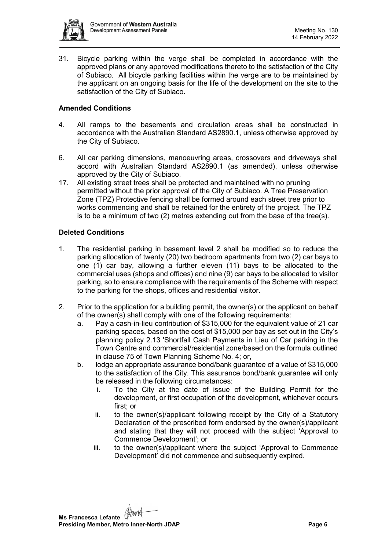

31. Bicycle parking within the verge shall be completed in accordance with the approved plans or any approved modifications thereto to the satisfaction of the City of Subiaco. All bicycle parking facilities within the verge are to be maintained by the applicant on an ongoing basis for the life of the development on the site to the satisfaction of the City of Subiaco.

# **Amended Conditions**

- 4. All ramps to the basements and circulation areas shall be constructed in accordance with the Australian Standard AS2890.1, unless otherwise approved by the City of Subiaco.
- 6. All car parking dimensions, manoeuvring areas, crossovers and driveways shall accord with Australian Standard AS2890.1 (as amended), unless otherwise approved by the City of Subiaco.
- 17. All existing street trees shall be protected and maintained with no pruning permitted without the prior approval of the City of Subiaco. A Tree Preservation Zone (TPZ) Protective fencing shall be formed around each street tree prior to works commencing and shall be retained for the entirety of the project. The TPZ is to be a minimum of two  $(2)$  metres extending out from the base of the tree(s).

# **Deleted Conditions**

- 1. The residential parking in basement level 2 shall be modified so to reduce the parking allocation of twenty (20) two bedroom apartments from two (2) car bays to one (1) car bay, allowing a further eleven (11) bays to be allocated to the commercial uses (shops and offices) and nine (9) car bays to be allocated to visitor parking, so to ensure compliance with the requirements of the Scheme with respect to the parking for the shops, offices and residential visitor.
- 2. Prior to the application for a building permit, the owner(s) or the applicant on behalf of the owner(s) shall comply with one of the following requirements:
	- a. Pay a cash-in-lieu contribution of \$315,000 for the equivalent value of 21 car parking spaces, based on the cost of \$15,000 per bay as set out in the City's planning policy 2.13 'Shortfall Cash Payments in Lieu of Car parking in the Town Centre and commercial/residential zone/based on the formula outlined in clause 75 of Town Planning Scheme No. 4; or,
	- b. lodge an appropriate assurance bond/bank guarantee of a value of \$315,000 to the satisfaction of the City. This assurance bond/bank guarantee will only be released in the following circumstances:
		- i. To the City at the date of issue of the Building Permit for the development, or first occupation of the development, whichever occurs first: or
		- ii. to the owner(s)/applicant following receipt by the City of a Statutory Declaration of the prescribed form endorsed by the owner(s)/applicant and stating that they will not proceed with the subject 'Approval to Commence Development'; or
		- iii. to the owner(s)/applicant where the subject 'Approval to Commence Development' did not commence and subsequently expired.

**Ms Francesca Lefante** ( **Presiding Member, Metro Inner-North JDAP Page 6 Page 6**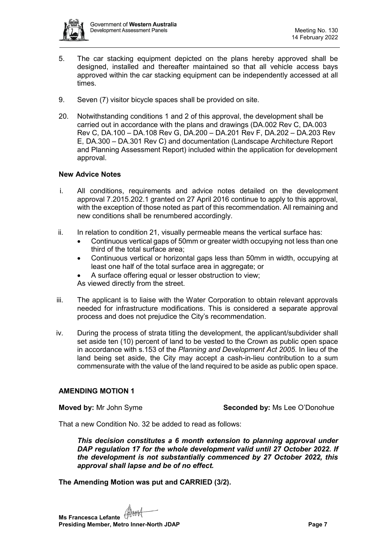

- 5. The car stacking equipment depicted on the plans hereby approved shall be designed, installed and thereafter maintained so that all vehicle access bays approved within the car stacking equipment can be independently accessed at all times.
- 9. Seven (7) visitor bicycle spaces shall be provided on site.
- 20. Notwithstanding conditions 1 and 2 of this approval, the development shall be carried out in accordance with the plans and drawings (DA.002 Rev C, DA.003 Rev C, DA.100 – DA.108 Rev G, DA.200 – DA.201 Rev F, DA.202 – DA.203 Rev E, DA.300 – DA.301 Rev C) and documentation (Landscape Architecture Report and Planning Assessment Report) included within the application for development approval.

# **New Advice Notes**

- i. All conditions, requirements and advice notes detailed on the development approval 7.2015.202.1 granted on 27 April 2016 continue to apply to this approval, with the exception of those noted as part of this recommendation. All remaining and new conditions shall be renumbered accordingly.
- ii. In relation to condition 21, visually permeable means the vertical surface has:
	- Continuous vertical gaps of 50mm or greater width occupying not less than one third of the total surface area;
	- Continuous vertical or horizontal gaps less than 50mm in width, occupying at least one half of the total surface area in aggregate; or
	- A surface offering equal or lesser obstruction to view;
	- As viewed directly from the street.
- iii. The applicant is to liaise with the Water Corporation to obtain relevant approvals needed for infrastructure modifications. This is considered a separate approval process and does not prejudice the City's recommendation.
- iv. During the process of strata titling the development, the applicant/subdivider shall set aside ten (10) percent of land to be vested to the Crown as public open space in accordance with s.153 of the *Planning and Development Act 2005*. In lieu of the land being set aside, the City may accept a cash-in-lieu contribution to a sum commensurate with the value of the land required to be aside as public open space.

#### **AMENDING MOTION 1**

**Moved by:** Mr John Syme **Seconded by:** Ms Lee O'Donohue

That a new Condition No. 32 be added to read as follows:

*This decision constitutes a 6 month extension to planning approval under DAP regulation 17 for the whole development valid until 27 October 2022. If the development is not substantially commenced by 27 October 2022, this approval shall lapse and be of no effect.* 

# **The Amending Motion was put and CARRIED (3/2).**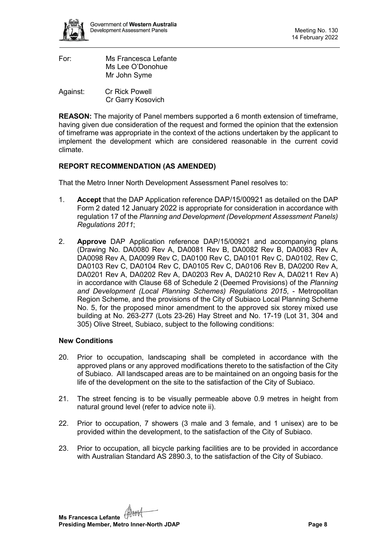

| For: | Ms Francesca Lefante |
|------|----------------------|
|      | Ms Lee O'Donohue     |
|      | Mr John Syme         |
|      |                      |

Against: Cr Rick Powell Cr Garry Kosovich

**REASON:** The majority of Panel members supported a 6 month extension of timeframe, having given due consideration of the request and formed the opinion that the extension of timeframe was appropriate in the context of the actions undertaken by the applicant to implement the development which are considered reasonable in the current covid climate.

# **REPORT RECOMMENDATION (AS AMENDED)**

That the Metro Inner North Development Assessment Panel resolves to:

- 1. **Accept** that the DAP Application reference DAP/15/00921 as detailed on the DAP Form 2 dated 12 January 2022 is appropriate for consideration in accordance with regulation 17 of the *Planning and Development (Development Assessment Panels) Regulations 2011*;
- 2. **Approve** DAP Application reference DAP/15/00921 and accompanying plans (Drawing No. DA0080 Rev A, DA0081 Rev B, DA0082 Rev B, DA0083 Rev A, DA0098 Rev A, DA0099 Rev C, DA0100 Rev C, DA0101 Rev C, DA0102, Rev C, DA0103 Rev C, DA0104 Rev C, DA0105 Rev C, DA0106 Rev B, DA0200 Rev A, DA0201 Rev A, DA0202 Rev A, DA0203 Rev A, DA0210 Rev A, DA0211 Rev A) in accordance with Clause 68 of Schedule 2 (Deemed Provisions) of the *Planning and Development (Local Planning Schemes) Regulations 2015*, - Metropolitan Region Scheme, and the provisions of the City of Subiaco Local Planning Scheme No. 5, for the proposed minor amendment to the approved six storey mixed use building at No. 263-277 (Lots 23-26) Hay Street and No. 17-19 (Lot 31, 304 and 305) Olive Street, Subiaco, subject to the following conditions:

# **New Conditions**

- 20. Prior to occupation, landscaping shall be completed in accordance with the approved plans or any approved modifications thereto to the satisfaction of the City of Subiaco. All landscaped areas are to be maintained on an ongoing basis for the life of the development on the site to the satisfaction of the City of Subiaco.
- 21. The street fencing is to be visually permeable above 0.9 metres in height from natural ground level (refer to advice note ii).
- 22. Prior to occupation, 7 showers (3 male and 3 female, and 1 unisex) are to be provided within the development, to the satisfaction of the City of Subiaco.
- 23. Prior to occupation, all bicycle parking facilities are to be provided in accordance with Australian Standard AS 2890.3, to the satisfaction of the City of Subiaco.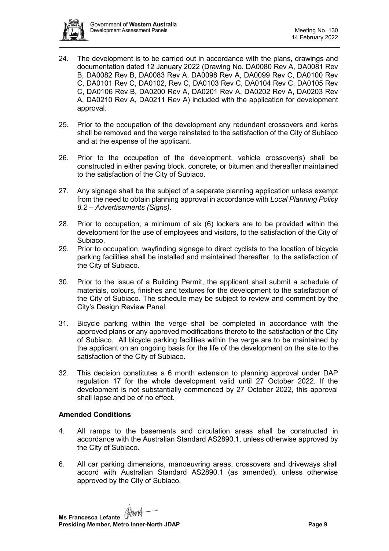

- 24. The development is to be carried out in accordance with the plans, drawings and documentation dated 12 January 2022 (Drawing No. DA0080 Rev A, DA0081 Rev B, DA0082 Rev B, DA0083 Rev A, DA0098 Rev A, DA0099 Rev C, DA0100 Rev C, DA0101 Rev C, DA0102, Rev C, DA0103 Rev C, DA0104 Rev C, DA0105 Rev C, DA0106 Rev B, DA0200 Rev A, DA0201 Rev A, DA0202 Rev A, DA0203 Rev A, DA0210 Rev A, DA0211 Rev A) included with the application for development approval.
- 25. Prior to the occupation of the development any redundant crossovers and kerbs shall be removed and the verge reinstated to the satisfaction of the City of Subiaco and at the expense of the applicant.
- 26. Prior to the occupation of the development, vehicle crossover(s) shall be constructed in either paving block, concrete, or bitumen and thereafter maintained to the satisfaction of the City of Subiaco.
- 27. Any signage shall be the subject of a separate planning application unless exempt from the need to obtain planning approval in accordance with *Local Planning Policy 8.2 – Advertisements (Signs)*.
- 28. Prior to occupation, a minimum of six (6) lockers are to be provided within the development for the use of employees and visitors, to the satisfaction of the City of Subiaco.
- 29. Prior to occupation, wayfinding signage to direct cyclists to the location of bicycle parking facilities shall be installed and maintained thereafter, to the satisfaction of the City of Subiaco.
- 30. Prior to the issue of a Building Permit, the applicant shall submit a schedule of materials, colours, finishes and textures for the development to the satisfaction of the City of Subiaco. The schedule may be subject to review and comment by the City's Design Review Panel.
- 31. Bicycle parking within the verge shall be completed in accordance with the approved plans or any approved modifications thereto to the satisfaction of the City of Subiaco. All bicycle parking facilities within the verge are to be maintained by the applicant on an ongoing basis for the life of the development on the site to the satisfaction of the City of Subiaco.
- 32. This decision constitutes a 6 month extension to planning approval under DAP regulation 17 for the whole development valid until 27 October 2022. If the development is not substantially commenced by 27 October 2022, this approval shall lapse and be of no effect.

# **Amended Conditions**

- 4. All ramps to the basements and circulation areas shall be constructed in accordance with the Australian Standard AS2890.1, unless otherwise approved by the City of Subiaco.
- 6. All car parking dimensions, manoeuvring areas, crossovers and driveways shall accord with Australian Standard AS2890.1 (as amended), unless otherwise approved by the City of Subiaco.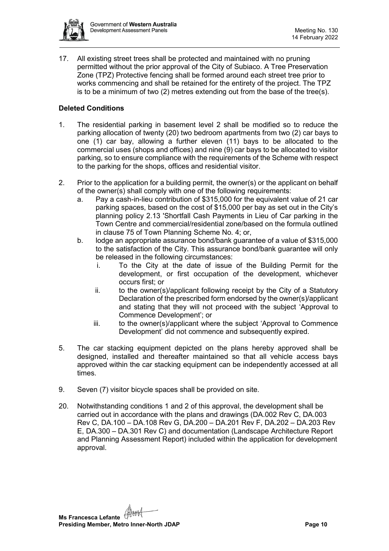

17. All existing street trees shall be protected and maintained with no pruning permitted without the prior approval of the City of Subiaco. A Tree Preservation Zone (TPZ) Protective fencing shall be formed around each street tree prior to works commencing and shall be retained for the entirety of the project. The TPZ is to be a minimum of two (2) metres extending out from the base of the tree(s).

# **Deleted Conditions**

- 1. The residential parking in basement level 2 shall be modified so to reduce the parking allocation of twenty (20) two bedroom apartments from two (2) car bays to one (1) car bay, allowing a further eleven (11) bays to be allocated to the commercial uses (shops and offices) and nine (9) car bays to be allocated to visitor parking, so to ensure compliance with the requirements of the Scheme with respect to the parking for the shops, offices and residential visitor.
- 2. Prior to the application for a building permit, the owner(s) or the applicant on behalf of the owner(s) shall comply with one of the following requirements:
	- a. Pay a cash-in-lieu contribution of \$315,000 for the equivalent value of 21 car parking spaces, based on the cost of \$15,000 per bay as set out in the City's planning policy 2.13 'Shortfall Cash Payments in Lieu of Car parking in the Town Centre and commercial/residential zone/based on the formula outlined in clause 75 of Town Planning Scheme No. 4; or,
	- b. lodge an appropriate assurance bond/bank guarantee of a value of \$315,000 to the satisfaction of the City. This assurance bond/bank guarantee will only be released in the following circumstances:
		- i. To the City at the date of issue of the Building Permit for the development, or first occupation of the development, whichever occurs first; or
		- ii. to the owner(s)/applicant following receipt by the City of a Statutory Declaration of the prescribed form endorsed by the owner(s)/applicant and stating that they will not proceed with the subject 'Approval to Commence Development'; or
		- iii. to the owner(s)/applicant where the subject 'Approval to Commence Development' did not commence and subsequently expired.
- 5. The car stacking equipment depicted on the plans hereby approved shall be designed, installed and thereafter maintained so that all vehicle access bays approved within the car stacking equipment can be independently accessed at all times.
- 9. Seven (7) visitor bicycle spaces shall be provided on site.
- 20. Notwithstanding conditions 1 and 2 of this approval, the development shall be carried out in accordance with the plans and drawings (DA.002 Rev C, DA.003 Rev C, DA.100 – DA.108 Rev G, DA.200 – DA.201 Rev F, DA.202 – DA.203 Rev E, DA.300 – DA.301 Rev C) and documentation (Landscape Architecture Report and Planning Assessment Report) included within the application for development approval.

**Ms Francesca Lefante** ( **Presiding Member, Metro Inner-North JDAP Page 10 Page 10**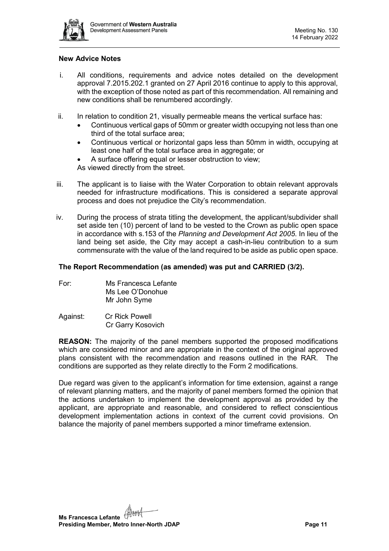

#### **New Advice Notes**

- i. All conditions, requirements and advice notes detailed on the development approval 7.2015.202.1 granted on 27 April 2016 continue to apply to this approval, with the exception of those noted as part of this recommendation. All remaining and new conditions shall be renumbered accordingly.
- ii. In relation to condition 21, visually permeable means the vertical surface has:
	- Continuous vertical gaps of 50mm or greater width occupying not less than one third of the total surface area;
	- Continuous vertical or horizontal gaps less than 50mm in width, occupying at least one half of the total surface area in aggregate; or
	- A surface offering equal or lesser obstruction to view;

As viewed directly from the street.

- iii. The applicant is to liaise with the Water Corporation to obtain relevant approvals needed for infrastructure modifications. This is considered a separate approval process and does not prejudice the City's recommendation.
- iv. During the process of strata titling the development, the applicant/subdivider shall set aside ten (10) percent of land to be vested to the Crown as public open space in accordance with s.153 of the *Planning and Development Act 2005*. In lieu of the land being set aside, the City may accept a cash-in-lieu contribution to a sum commensurate with the value of the land required to be aside as public open space.

#### **The Report Recommendation (as amended) was put and CARRIED (3/2).**

| For: | Ms Francesca Lefante |
|------|----------------------|
|      | Ms Lee O'Donohue     |
|      | Mr John Syme         |

Against: Cr Rick Powell Cr Garry Kosovich

**REASON:** The majority of the panel members supported the proposed modifications which are considered minor and are appropriate in the context of the original approved plans consistent with the recommendation and reasons outlined in the RAR. The conditions are supported as they relate directly to the Form 2 modifications.

Due regard was given to the applicant's information for time extension, against a range of relevant planning matters, and the majority of panel members formed the opinion that the actions undertaken to implement the development approval as provided by the applicant, are appropriate and reasonable, and considered to reflect conscientious development implementation actions in context of the current covid provisions. On balance the majority of panel members supported a minor timeframe extension.

**Ms Francesca Lefante Presiding Member, Metro Inner-North JDAP Page 11 Page 11**